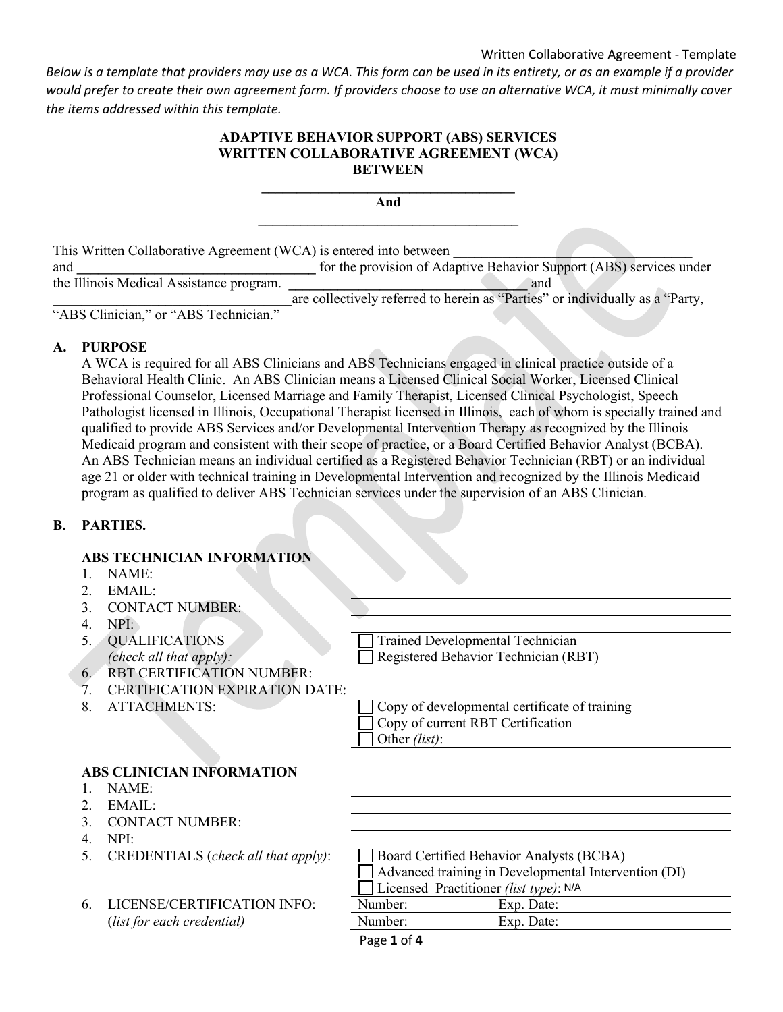### Written Collaborative Agreement - Template

*Below is a template that providers may use as a WCA. This form can be used in its entirety, or as an example if a provider would prefer to create their own agreement form. If providers choose to use an alternative WCA, it must minimally cover the items addressed within this template.*

### **ADAPTIVE BEHAVIOR SUPPORT (ABS) SERVICES WRITTEN COLLABORATIVE AGREEMENT (WCA) BETWEEN**

**\_\_\_\_\_\_\_\_\_\_\_\_\_\_\_\_\_\_\_\_\_\_\_\_\_\_\_\_\_\_\_\_\_\_\_\_ And \_\_\_\_\_\_\_\_\_\_\_\_\_\_\_\_\_\_\_\_\_\_\_\_\_\_\_\_\_\_\_\_\_\_\_\_\_** 

This Written Collaborative Agreement (WCA) is entered into between and **\_\_\_\_\_\_\_\_\_\_\_\_\_\_\_\_\_\_\_\_\_\_\_\_\_\_\_\_\_\_\_\_\_\_** for the provision of Adaptive Behavior Support (ABS) services under the Illinois Medical Assistance program. **\_\_\_\_\_\_\_\_\_\_\_\_\_\_\_\_\_\_\_\_\_\_\_\_\_\_\_\_\_\_\_\_\_\_** and **\_\_\_\_\_\_\_\_\_\_\_\_\_\_\_\_\_\_\_\_\_\_\_\_\_\_\_\_\_\_\_\_\_\_**are collectively referred to herein as "Parties" or individually as a "Party, "ABS Clinician," or "ABS Technician."

### **A. PURPOSE**

A WCA is required for all ABS Clinicians and ABS Technicians engaged in clinical practice outside of a Behavioral Health Clinic. An ABS Clinician means a Licensed Clinical Social Worker, Licensed Clinical Professional Counselor, Licensed Marriage and Family Therapist, Licensed Clinical Psychologist, Speech Pathologist licensed in Illinois, Occupational Therapist licensed in Illinois, each of whom is specially trained and qualified to provide ABS Services and/or Developmental Intervention Therapy as recognized by the Illinois Medicaid program and consistent with their scope of practice, or a Board Certified Behavior Analyst (BCBA). An ABS Technician means an individual certified as a Registered Behavior Technician (RBT) or an individual age 21 or older with technical training in Developmental Intervention and recognized by the Illinois Medicaid program as qualified to deliver ABS Technician services under the supervision of an ABS Clinician.

#### **B. PARTIES.**

## **ABS TECHNICIAN INFORMATION**

- 1. NAME:
- 2.  $EMAIL:$
- 3. CONTACT NUMBER:
- 4. NPI:
- 5. QUALIFICATIONS *(check all that apply):*

Trained Developmental Technician Registered Behavior Technician (RBT)

7. CERTIFICATION EXPIRATION DATE:

6. RBT CERTIFICATION NUMBER:

8. ATTACHMENTS:  $\Box$  Copy of developmental certificate of training Copy of current RBT Certification Other *(list)*:

## **ABS CLINICIAN INFORMATION**

- 1. NAME:
- 2.  $EMAIL:$
- 3. CONTACT NUMBER:
- 4. NPI:
- 5. CREDENTIALS (*check all that apply*):
- 6. LICENSE/CERTIFICATION INFO: (*list for each credential*)

| Board Certified Behavior Analysts (BCBA)                    |            |  |  |
|-------------------------------------------------------------|------------|--|--|
| $\Box$ Advanced training in Developmental Intervention (DI) |            |  |  |
| Licensed Practitioner (list type): N/A                      |            |  |  |
| Number:                                                     | Exp. Date: |  |  |
| Number:                                                     | Exp. Date: |  |  |

Page **1** of **4**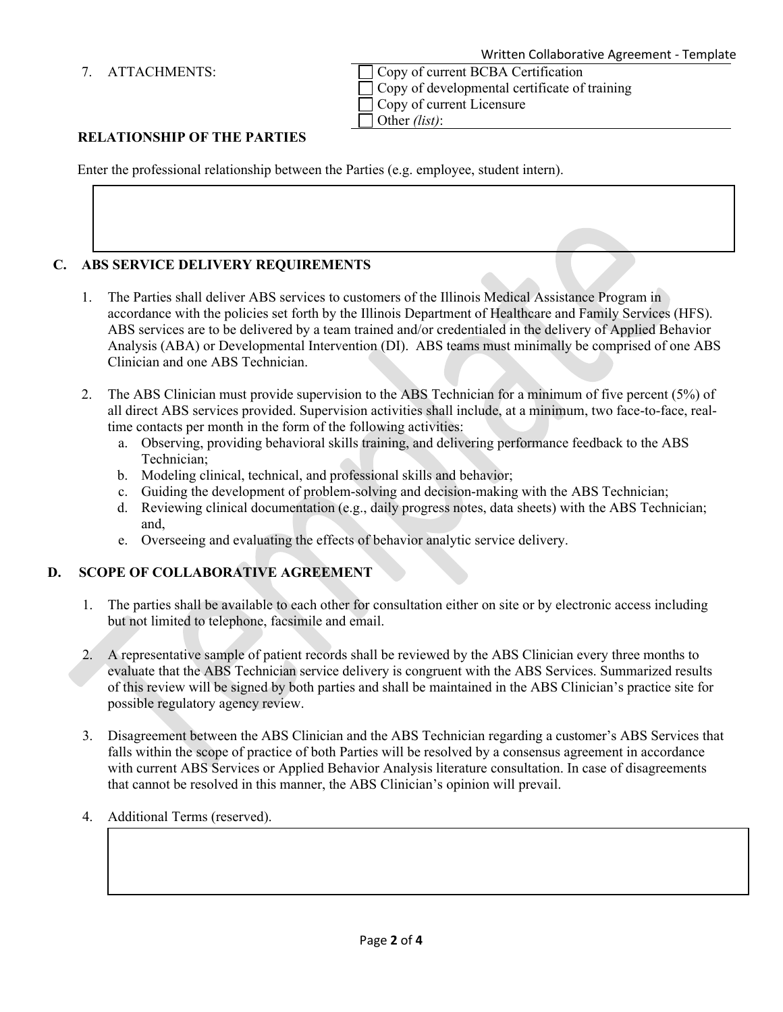7. ATTACHMENTS:  $\bigcap$  Copy of current BCBA Certification Copy of developmental certificate of training Copy of current Licensure Other *(list)*:

# **RELATIONSHIP OF THE PARTIES**

Enter the professional relationship between the Parties (e.g. employee, student intern).

## **C. ABS SERVICE DELIVERY REQUIREMENTS**

- 1. The Parties shall deliver ABS services to customers of the Illinois Medical Assistance Program in accordance with the policies set forth by the Illinois Department of Healthcare and Family Services (HFS). ABS services are to be delivered by a team trained and/or credentialed in the delivery of Applied Behavior Analysis (ABA) or Developmental Intervention (DI). ABS teams must minimally be comprised of one ABS Clinician and one ABS Technician.
- 2. The ABS Clinician must provide supervision to the ABS Technician for a minimum of five percent (5%) of all direct ABS services provided. Supervision activities shall include, at a minimum, two face-to-face, realtime contacts per month in the form of the following activities:
	- a. Observing, providing behavioral skills training, and delivering performance feedback to the ABS Technician;
	- b. Modeling clinical, technical, and professional skills and behavior;
	- c. Guiding the development of problem-solving and decision-making with the ABS Technician;
	- d. Reviewing clinical documentation (e.g., daily progress notes, data sheets) with the ABS Technician; and,
	- e. Overseeing and evaluating the effects of behavior analytic service delivery.

## **D. SCOPE OF COLLABORATIVE AGREEMENT**

- 1. The parties shall be available to each other for consultation either on site or by electronic access including but not limited to telephone, facsimile and email.
- 2. A representative sample of patient records shall be reviewed by the ABS Clinician every three months to evaluate that the ABS Technician service delivery is congruent with the ABS Services. Summarized results of this review will be signed by both parties and shall be maintained in the ABS Clinician's practice site for possible regulatory agency review.
- 3. Disagreement between the ABS Clinician and the ABS Technician regarding a customer's ABS Services that falls within the scope of practice of both Parties will be resolved by a consensus agreement in accordance with current ABS Services or Applied Behavior Analysis literature consultation. In case of disagreements that cannot be resolved in this manner, the ABS Clinician's opinion will prevail.
- 4. Additional Terms (reserved).